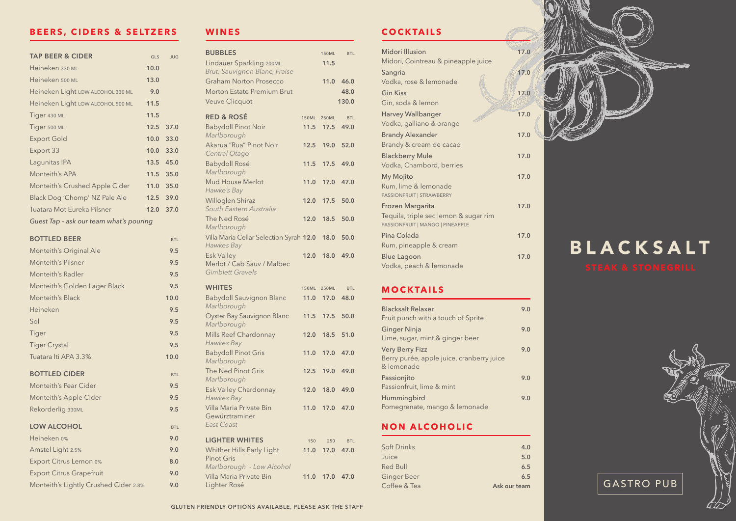#### **WINES**

| <b>BUBBLES</b>                                                             |               | <b>150ML</b>         | <b>BTL</b>         |  |
|----------------------------------------------------------------------------|---------------|----------------------|--------------------|--|
| Lindauer Sparkling 200ML                                                   |               | 11.5                 |                    |  |
| Brut, Sauvignon Blanc, Fraise                                              |               |                      |                    |  |
| <b>Graham Norton Prosecco</b>                                              |               | 11.0                 | 46.0               |  |
| <b>Morton Estate Premium Brut</b>                                          |               |                      | 48.0               |  |
| <b>Veuve Clicquot</b>                                                      |               |                      | 130.0              |  |
| <b>RED &amp; ROSÉ</b>                                                      | <b>150ML</b>  | <b>250ML</b>         | <b>BTL</b>         |  |
| <b>Babydoll Pinot Noir</b><br>Marlborough                                  | 11.5          | 17.5                 | 49.0               |  |
| Akarua "Rua" Pinot Noir<br>Central Otago                                   | 12.5          | 19.0                 | 52.0               |  |
| <b>Babydoll Rosé</b><br>Marlborough                                        | 11.5          | 17.5                 | 49.0               |  |
| Mud House Merlot<br>Hawke's Bay                                            | 11.0          | 17.0                 | 47.0               |  |
| Willoglen Shiraz<br>South Eastern Australia                                | 12.0          | 17.5                 | 50.0               |  |
| The Ned Rosé<br>Marlborough                                                | 12.0          | 18.5                 | 50.0               |  |
| Villa Maria Cellar Selection Syrah 12.0<br>Hawkes Bay                      |               | 18.0                 | 50.0               |  |
| <b>Esk Valley</b><br>Merlot / Cab Sauv / Malbec<br><b>Gimblett Gravels</b> | 12.0          | 18.0                 | 49.0               |  |
| <b>WHITES</b>                                                              |               |                      |                    |  |
| <b>Babydoll Sauvignon Blanc</b>                                            | 150ML<br>11.0 | <b>250ML</b><br>17.0 | <b>BTL</b><br>48.0 |  |
| Marlborough                                                                |               |                      |                    |  |
| <b>Oyster Bay Sauvignon Blanc</b><br>Marlborough                           | 11.5          | 17.5                 | 50.0               |  |
| Mills Reef Chardonnay<br>Hawkes Bay                                        | 12.0          |                      | 18.5 51.0          |  |
| <b>Babydoll Pinot Gris</b><br>Marlborough                                  | 11.0          | 17.0                 | 47.0               |  |
| The Ned Pinot Gris<br>Marlborough                                          | 12.5          | 19.0                 | 49.0               |  |
| Esk Valley Chardonnay<br>Hawkes Bay                                        | 12.0          | 18.0                 | 49.0               |  |
| Villa Maria Private Bin<br>Gewürztraminer                                  | 11.0          | 17.0                 | 47.0               |  |
| <b>East Coast</b>                                                          |               |                      |                    |  |
| <b>LIGHTER WHITES</b>                                                      | 150           | 250                  | <b>BTL</b>         |  |
| Whither Hills Early Light                                                  | 11.0          | 17.0                 | 47.0               |  |
| <b>Pinot Gris</b>                                                          |               |                      |                    |  |
| Marlborough - Low Alcohol<br>Villa Maria Private Bin                       |               | 11.0 17.0            | 47.0               |  |
| Lighter Rosé                                                               |               |                      |                    |  |
|                                                                            |               |                      |                    |  |

### **NON ALCOHOLIC**

| <b>Soft Drinks</b> | 4.0          |
|--------------------|--------------|
| Juice              | 5.0          |
| <b>Red Bull</b>    | 6.5          |
| <b>Ginger Beer</b> | 6.5          |
| Coffee & Tea       | Ask our team |

| <b>Blacksalt Relaxer</b><br>Fruit punch with a touch of Sprite                    | 9.0 |
|-----------------------------------------------------------------------------------|-----|
| <b>Ginger Ninja</b><br>Lime, sugar, mint & ginger beer                            | 9.0 |
| <b>Very Berry Fizz</b><br>Berry purée, apple juice, cranberry juice<br>& lemonade | 9.0 |
| Passionjito<br>Passionfruit, lime & mint                                          | 9.0 |
| Hummingbird<br>Pomegrenate, mango & lemonade                                      | 9.0 |



## **COCKTAILS**

| Midori, Cointreau & pineapple juice<br>17.0<br>Sangria<br>Vodka, rose & lemonade<br>17.0<br><b>Gin Kiss</b><br>Gin, soda & lemon<br><b>Harvey Wallbanger</b><br>17.0<br>Vodka, galliano & orange<br>17.0<br><b>Brandy Alexander</b><br>17.0<br>17.0<br>17.0<br>17.0<br>17.0                                                   | Midori Illusion         | 17.0 |
|-------------------------------------------------------------------------------------------------------------------------------------------------------------------------------------------------------------------------------------------------------------------------------------------------------------------------------|-------------------------|------|
|                                                                                                                                                                                                                                                                                                                               |                         |      |
|                                                                                                                                                                                                                                                                                                                               |                         |      |
|                                                                                                                                                                                                                                                                                                                               |                         |      |
|                                                                                                                                                                                                                                                                                                                               |                         |      |
|                                                                                                                                                                                                                                                                                                                               |                         |      |
|                                                                                                                                                                                                                                                                                                                               |                         |      |
|                                                                                                                                                                                                                                                                                                                               |                         |      |
| <b>Blackberry Mule</b><br>Vodka, Chambord, berries<br><b>My Mojito</b><br>Rum, lime & lemonade<br><b>PASSIONFRUIT   STRAWBERRY</b><br>Frozen Margarita<br>Tequila, triple sec lemon & sugar rim<br>PASSIONFRUIT   MANGO   PINEAPPLE<br>Pina Colada<br>Rum, pineapple & cream<br><b>Blue Lagoon</b><br>Vodka, peach & lemonade | Brandy & cream de cacao |      |
|                                                                                                                                                                                                                                                                                                                               |                         |      |
|                                                                                                                                                                                                                                                                                                                               |                         |      |
|                                                                                                                                                                                                                                                                                                                               |                         |      |
|                                                                                                                                                                                                                                                                                                                               |                         |      |
|                                                                                                                                                                                                                                                                                                                               |                         |      |
|                                                                                                                                                                                                                                                                                                                               |                         |      |
|                                                                                                                                                                                                                                                                                                                               |                         |      |
|                                                                                                                                                                                                                                                                                                                               |                         |      |
|                                                                                                                                                                                                                                                                                                                               |                         |      |
|                                                                                                                                                                                                                                                                                                                               |                         |      |
|                                                                                                                                                                                                                                                                                                                               |                         |      |
|                                                                                                                                                                                                                                                                                                                               |                         |      |
|                                                                                                                                                                                                                                                                                                                               | <b>MOCKTAILS</b>        |      |

## BEERS, CIDERS & SELTZERS

| <b>TAP BEER &amp; CIDER</b>             | <b>GLS</b> | <b>JUG</b> |
|-----------------------------------------|------------|------------|
| Heineken 330 ML                         | 10.0       |            |
| Heineken 500 ML                         | 13.0       |            |
| Heineken Light LOW ALCOHOL 330 ML       | 9.0        |            |
| Heineken Light LOW ALCOHOL 500 ML       | 11.5       |            |
| Tiger 430 ML                            | 11.5       |            |
| Tiger 500 ML                            | 12.5       | 37.0       |
| <b>Export Gold</b>                      | 10.0       | 33.0       |
| Export 33                               | 10.0       | 33.0       |
| Lagunitas IPA                           | 13.5       | 45.0       |
| Monteith's APA                          | 11.5       | 35.0       |
| Monteith's Crushed Apple Cider          | 11.0       | 35.0       |
| Black Dog 'Chomp' NZ Pale Ale           | 12.5       | 39.0       |
| Tuatara Mot Eureka Pilsner              | 12.0       | 37.0       |
| Guest Tap - ask our team what's pouring |            |            |
| <b>BOTTLED BEER</b>                     |            | <b>BTL</b> |
| Monteith's Original Ale                 |            | 9.5        |
| <b>Monteith's Pilsner</b>               |            | 9.5        |
| <b>Monteith's Radler</b>                |            | 9.5        |
| Monteith's Golden Lager Black           |            | 9.5        |
| Monteith's Black                        |            | 10.0       |
| Heineken                                |            | 9.5        |
| Sol                                     |            | 9.5        |
| Tiger                                   |            | 9.5        |
| <b>Tiger Crystal</b>                    |            | 9.5        |
| Tuatara Iti APA 3.3%                    |            | 10.0       |
| <b>BOTTLED CIDER</b>                    |            | <b>BTL</b> |
| <b>Monteith's Pear Cider</b>            |            | 9.5        |
| Monteith's Apple Cider                  |            | 9.5        |
| Rekorderlig 330ML                       |            | 9.5        |
| <b>LOW ALCOHOL</b>                      |            | <b>BTL</b> |
| Heineken 0%                             |            | 9.0        |
| Amstel Light 2.5%                       |            | 9.0        |
| Export Citrus Lemon 0%                  |            | 8.0        |
| <b>Export Citrus Grapefruit</b>         |            | 9.0        |
| Monteith's Lightly Crushed Cider 2.8%   |            | 9.0        |



# BLACKSALT